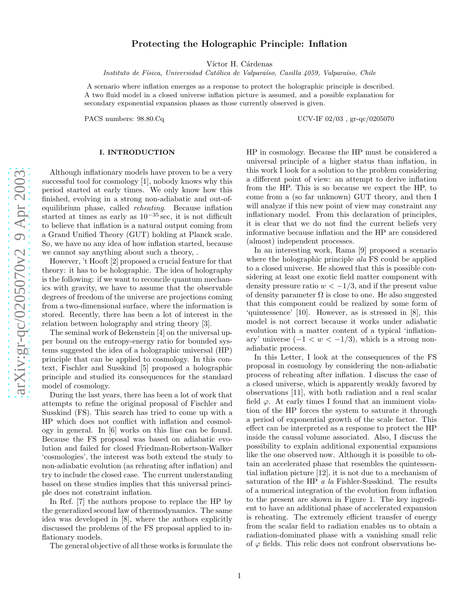# Protecting the Holographic Principle: Inflation

Víctor H. Cárdenas

Instituto de Física, Universidad Católica de Valparaíso, Casilla 4059, Valparaíso, Chile

A scenario where inflation emerges as a response to protect the holographic principle is described. A two fluid model in a closed universe inflation picture is assumed, and a possible explanation for secondary exponential expansion phases as those currently observed is given.

PACS numbers: 98.80.Cq UCV-IF 02/03 , gr-qc/0205070

# I. INTRODUCTION

Although inflationary models have proven to be a very successful tool for cosmology [1], nobody knows why this period started at early times. We only know how this finished, evolving in a strong non-adiabatic and out-ofequilibrium phase, called reheating. Because inflation started at times as early as  $10^{-35}$  sec, it is not difficult to believe that inflation is a natural output coming from a Grand Unified Theory (GUT) holding at Planck scale. So, we have no any idea of how inflation started, because we cannot say anything about such a theory, .

However, 't Hooft [2] proposed a crucial feature for that theory: it has to be holographic. The idea of holography is the following: if we want to reconcile quantum mechanics with gravity, we have to assume that the observable degrees of freedom of the universe are projections coming from a two-dimensional surface, where the information is stored. Recently, there has been a lot of interest in the relation between holography and string theory [3].

The seminal work of Bekenstein [4] on the universal upper bound on the entropy-energy ratio for bounded systems suggested the idea of a holographic universal (HP) principle that can be applied to cosmology. In this context, Fischler and Susskind [5] proposed a holographic principle and studied its consequences for the standard model of cosmology.

During the last years, there has been a lot of work that attempts to refine the original proposal of Fischler and Susskind (FS). This search has tried to come up with a HP which does not conflict with inflation and cosmology in general. In [6] works on this line can be found. Because the FS proposal was based on adiabatic evolution and failed for closed Friedman-Robertson-Walker 'cosmologies', the interest was both extend the study to non-adiabatic evolution (as reheating after inflation) and try to include the closed case. The current understanding based on these studies implies that this universal principle does not constraint inflation.

In Ref. [7] the authors propose to replace the HP by the generalized second law of thermodynamics. The same idea was developed in [8], where the authors explicitly discussed the problems of the FS proposal applied to inflationary models.

The general objective of all these works is formulate the

HP in cosmology. Because the HP must be considered a universal principle of a higher status than inflation, in this work I look for a solution to the problem considering a different point of view: an attempt to derive inflation from the HP. This is so because we expect the HP, to come from a (so far unknown) GUT theory, and then I will analyze if this new point of view may constraint any inflationary model. From this declaration of principles, it is clear that we do not find the current beliefs very informative because inflation and the HP are considered (almost) independent processes.

In an interesting work, Rama [9] proposed a scenario where the holographic principle *ala* FS could be applied to a closed universe. He showed that this is possible considering at least one exotic field matter component with density pressure ratio  $w < -1/3$ , and if the present value of density parameter  $\Omega$  is close to one. He also suggested that this component could be realized by some form of 'quintessence' [10]. However, as is stressed in [8], this model is not correct because it works under adiabatic evolution with a matter content of a typical 'inflationary' universe  $(-1 < w < -1/3)$ , which is a strong nonadiabatic process.

In this Letter, I look at the consequences of the FS proposal in cosmology by considering the non-adiabatic process of reheating after inflation. I discuss the case of a closed universe, which is apparently weakly favored by observations [11], with both radiation and a real scalar field  $\varphi$ . At early times I found that an imminent violation of the HP forces the system to saturate it through a period of exponential growth of the scale factor. This effect can be interpreted as a response to protect the HP inside the causal volume associated. Also, I discuss the possibility to explain additional exponential expansions like the one observed now. Although it is possible to obtain an accelerated phase that resembles the quintessential inflation picture [12], it is not due to a mechanism of saturation of the HP a la Fishler-Susskind. The results of a numerical integration of the evolution from inflation to the present are shown in Figure 1. The key ingredient to have an additional phase of accelerated expansion is reheating. The extremely efficient transfer of energy from the scalar field to radiation enables us to obtain a radiation-dominated phase with a vanishing small relic of  $\varphi$  fields. This relic does not confront observations be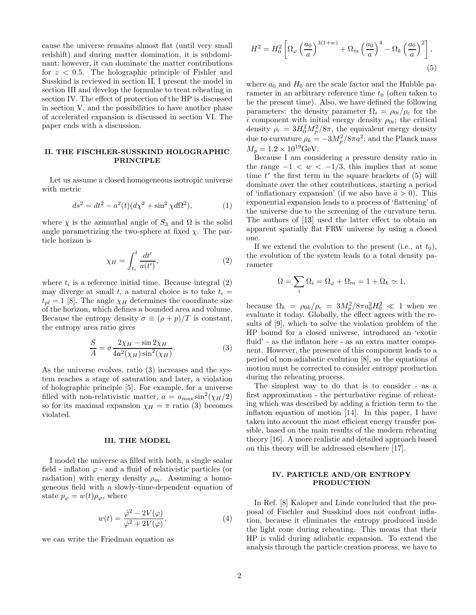cause the universe remains almost flat (until very small redshift) and during matter domination, it is subdominant; however, it can dominate the matter contributions for  $z < 0.5$ . The holographic principle of Fishler and Susskind is reviewed in section II. I present the model in section III and develop the formulae to treat reheating in section IV. The effect of protection of the HP is discussed in section V, and the possibilities to have another phase of accelerated expansion is discussed in section VI. The paper ends with a discussion.

# II. THE FISCHLER-SUSSKIND HOLOGRAPHIC PRINCIPLE

Let us assume a closed homogeneous isotropic universe with metric

$$
ds^{2} = dt^{2} - a^{2}(t)(d\chi^{2} + \sin^{2}\chi d\Omega^{2}),
$$
 (1)

where  $\chi$  is the azimuthal angle of  $S_3$  and  $\Omega$  is the solid angle parametrizing the two-sphere at fixed  $\chi$ . The particle horizon is

$$
\chi_H = \int_{t_i}^t \frac{dt'}{a(t')},\tag{2}
$$

where  $t_i$  is a reference initial time. Because integral  $(2)$ may diverge at small t, a natural choice is to take  $t_i =$  $t_{pl} = 1$  [8]. The angle  $\chi_H$  determines the coordinate size of the horizon, which defines a bounded area and volume. Because the entropy density  $\sigma \equiv (\rho + p)/T$  is constant, the entropy area ratio gives

$$
\frac{S}{A} = \sigma \frac{2\chi_H - \sin 2\chi_H}{4a^2(\chi_H)\sin^2(\chi_H)}.
$$
\n(3)

As the universe evolves, ratio (3) increases and the system reaches a stage of saturation and later, a violation of holographic principle [5]. For example, for a universe filled with non-relativistic matter,  $a = a_{\text{max}} \sin^2(\chi_H/2)$ so for its maximal expansion  $\chi_H = \pi$  ratio (3) becomes violated.

## III. THE MODEL

I model the universe as filled with both, a single scalar field - inflaton  $\varphi$  - and a fluid of relativistic particles (or radiation) with energy density  $\rho_m$ . Assuming a homogeneous field with a slowly-time-dependent equation of state  $p_{\varphi} = w(t)\rho_{\varphi}$ , where

$$
w(t) = \frac{\dot{\varphi}^2 - 2V(\varphi)}{\dot{\varphi}^2 + 2V(\varphi)},\tag{4}
$$

we can write the Friedman equation as

$$
H^{2} = H_{0}^{2} \left[ \Omega_{\varphi} \left( \frac{a_{0}}{a} \right)^{3(1+w)} + \Omega_{m} \left( \frac{a_{0}}{a} \right)^{4} - \Omega_{k} \left( \frac{a_{0}}{a} \right)^{2} \right],
$$
\n(5)

where  $a_0$  and  $H_0$  are the scale factor and the Hubble parameter in an arbitrary reference time  $t_0$  (often taken to be the present time). Also, we have defined the following parameters: the density parameter  $\Omega_i = \rho_{0i}/\rho_c$  for the i component with initial energy density  $\rho_{0i}$ ; the critical density  $\rho_c = 3H_0^2M_p^2/8\pi$ , the equivalent energy density due to curvature  $\rho_k = -3M_p^2/8\pi a^2$ ; and the Planck mass  $M_p = 1.2 \times 10^{19} \text{GeV}.$ 

Because I am considering a pressure density ratio in the range  $-1 < w < -1/3$ , this implies that at some time  $t^*$  the first term in the square brackets of (5) will dominate over the other contributions, starting a period of 'inflationary expansion' (if we also have  $\ddot{a} > 0$ ). This exponential expansion leads to a process of 'flattening' of the universe due to the screening of the curvature term. The authors of [13] used the latter effect to obtain an apparent spatially flat FRW universe by using a closed one.

If we extend the evolution to the present (i.e., at  $t_0$ ), the evolution of the system leads to a total density parameter

$$
\Omega = \sum_{i} \Omega_i = \Omega_{\varphi} + \Omega_m = 1 + \Omega_k \simeq 1,
$$

because  $\Omega_k = \rho_{0k}/\rho_c = 3M_p^2/8\pi a_0^2 H_0^2 \ll 1$  when we evaluate it today. Globally, the effect agrees with the results of [9], which to solve the violation problem of the HP bound for a closed universe, introduced an 'exotic fluid' - as the inflaton here - as an extra matter component. However, the presence of this component leads to a period of non-adiabatic evolution [8], so the equations of motion must be corrected to consider entropy production during the reheating process.

The simplest way to do that is to consider - as a first approximation - the perturbative regime of reheating which was described by adding a friction term to the inflaton equation of motion [14]. In this paper, I have taken into account the most efficient energy transfer possible, based on the main results of the modern reheating theory [16]. A more realistic and detailed approach based on this theory will be addressed elsewhere [17].

## IV. PARTICLE AND/OR ENTROPY PRODUCTION

In Ref. [8] Kaloper and Linde concluded that the proposal of Fischler and Susskind does not confront inflation, because it eliminates the entropy produced inside the light cone during reheating. This means that their HP is valid during adiabatic expansion. To extend the analysis through the particle creation process, we have to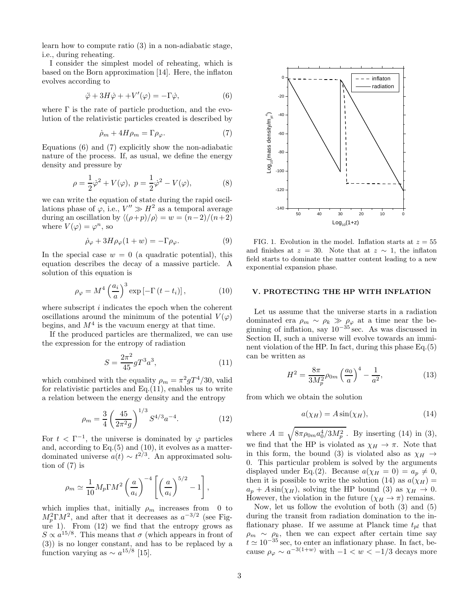learn how to compute ratio (3) in a non-adiabatic stage, i.e., during reheating.

I consider the simplest model of reheating, which is based on the Born approximation [14]. Here, the inflaton evolves according to

$$
\ddot{\varphi} + 3H\dot{\varphi} + +V'(\varphi) = -\Gamma\dot{\varphi},\tag{6}
$$

where  $\Gamma$  is the rate of particle production, and the evolution of the relativistic particles created is described by

$$
\dot{\rho}_m + 4H\rho_m = \Gamma \rho_\varphi. \tag{7}
$$

Equations (6) and (7) explicitly show the non-adiabatic nature of the process. If, as usual, we define the energy density and pressure by

$$
\rho = \frac{1}{2}\dot{\varphi}^2 + V(\varphi), \ p = \frac{1}{2}\dot{\varphi}^2 - V(\varphi),
$$
 (8)

we can write the equation of state during the rapid oscillations phase of  $\varphi$ , i.e.,  $V'' \gg H^2$  as a temporal average during an oscillation by  $\langle (\rho+p)/\rho \rangle = w = (n-2)/(n+2)$ where  $V(\varphi) = \varphi^n$ , so

$$
\dot{\rho}_{\varphi} + 3H\rho_{\varphi}(1+w) = -\Gamma\rho_{\varphi}.\tag{9}
$$

In the special case  $w = 0$  (a quadratic potential), this equation describes the decay of a massive particle. A solution of this equation is

$$
\rho_{\varphi} = M^4 \left(\frac{a_i}{a}\right)^3 \exp\left[-\Gamma\left(t - t_i\right)\right],\tag{10}
$$

where subscript  $i$  indicates the epoch when the coherent oscillations around the minimum of the potential  $V(\varphi)$ begins, and  $M<sup>4</sup>$  is the vacuum energy at that time.

If the produced particles are thermalized, we can use the expression for the entropy of radiation

$$
S = \frac{2\pi^2}{45} gT^3 a^3,\tag{11}
$$

which combined with the equality  $\rho_m = \pi^2 g T^4/30$ , valid for relativistic particles and  $Eq.(11)$ , enables us to write a relation between the energy density and the entropy

$$
\rho_m = \frac{3}{4} \left( \frac{45}{2\pi^2 g} \right)^{1/3} S^{4/3} a^{-4}.
$$
 (12)

For  $t < \Gamma^{-1}$ , the universe is dominated by  $\varphi$  particles and, according to Eq.(5) and (10), it evolves as a matterdominated universe  $a(t) \sim t^{2/3}$ . An approximated solution of (7) is

$$
\rho_m \simeq \frac{1}{10} M_p \Gamma M^2 \left(\frac{a}{a_i}\right)^{-4} \left[ \left(\frac{a}{a_i}\right)^{5/2} - 1 \right],
$$

which implies that, initially  $\rho_m$  increases from 0 to  $M_p^2 \Gamma M^2$ , and after that it decreases as  $a^{-3/2}$  (see Figure 1). From  $(12)$  we find that the entropy grows as  $S \propto a^{15/8}$ . This means that  $\sigma$  (which appears in front of (3)) is no longer constant, and has to be replaced by a function varying as  $\sim a^{15/8}$  [15].



FIG. 1. Evolution in the model. Inflation starts at  $z = 55$ and finishes at  $z = 30$ . Note that at  $z \sim 1$ , the inflaton field starts to dominate the matter content leading to a new exponential expansion phase.

## V. PROTECTING THE HP WITH INFLATION

Let us assume that the universe starts in a radiation dominated era  $\rho_m \sim \rho_k \gg \rho_\varphi$  at a time near the beginning of inflation, say  $10^{-35}$  sec. As was discussed in Section II, such a universe will evolve towards an imminent violation of the HP. In fact, during this phase Eq.(5) can be written as

$$
H^{2} = \frac{8\pi}{3M_{p}^{2}}\rho_{0m} \left(\frac{a_{0}}{a}\right)^{4} - \frac{1}{a^{2}},
$$
\n(13)

from which we obtain the solution

$$
a(\chi_H) = A\sin(\chi_H),\tag{14}
$$

where  $A \equiv \sqrt{8\pi\rho_{0m}a_0^4/3M_p^2}$ . By inserting (14) in (3), we find that the HP is violated as  $\chi_H \to \pi$ . Note that in this form, the bound (3) is violated also as  $\chi_H \to$ 0. This particular problem is solved by the arguments displayed under Eq.(2). Because  $a(\chi_H = 0) = a_p \neq 0$ , then it is possible to write the solution (14) as  $a(\chi_H)$  =  $a_p + A \sin(\chi_H)$ , solving the HP bound (3) as  $\chi_H \to 0$ . However, the violation in the future  $(\chi_H \to \pi)$  remains.

Now, let us follow the evolution of both (3) and (5) during the transit from radiation domination to the inflationary phase. If we assume at Planck time  $t_{pl}$  that  $\rho_m \sim \rho_k$ , then we can expect after certain time say  $t \approx 10^{-35}$  sec, to enter an inflationary phase. In fact, because  $\rho_{\varphi} \sim a^{-3(1+w)}$  with  $-1 < w < -1/3$  decays more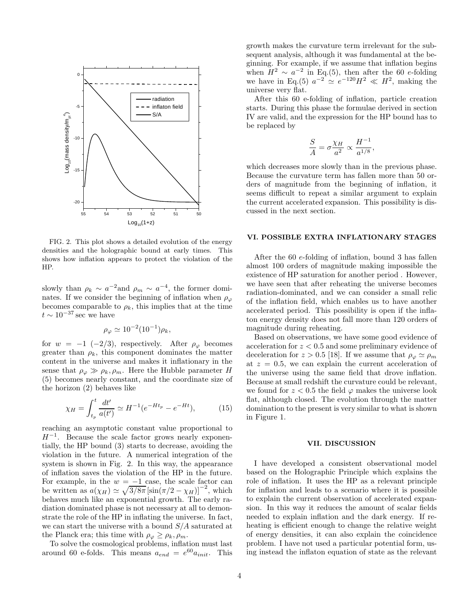

FIG. 2. This plot shows a detailed evolution of the energy densities and the holographic bound at early times. This shows how inflation appears to protect the violation of the HP.

slowly than  $\rho_k \sim a^{-2}$ and  $\rho_m \sim a^{-4}$ , the former dominates. If we consider the beginning of inflation when  $\rho_{\varphi}$ becomes comparable to  $\rho_k$ , this implies that at the time  $t\sim 10^{-37}\,{\rm sec}$  we have

$$
\rho_{\varphi} \simeq 10^{-2} (10^{-1}) \rho_k,
$$

for  $w = -1$  (-2/3), respectively. After  $\rho_{\varphi}$  becomes greater than  $\rho_k$ , this component dominates the matter content in the universe and makes it inflationary in the sense that  $\rho_{\varphi} \gg \rho_k, \rho_m$ . Here the Hubble parameter H (5) becomes nearly constant, and the coordinate size of the horizon (2) behaves like

$$
\chi_H = \int_{t_p}^t \frac{dt'}{a(t')} \simeq H^{-1}(e^{-Ht_p} - e^{-Ht}),\tag{15}
$$

reaching an asymptotic constant value proportional to  $H^{-1}$ . Because the scale factor grows nearly exponentially, the HP bound (3) starts to decrease, avoiding the violation in the future. A numerical integration of the system is shown in Fig. 2. In this way, the appearance of inflation saves the violation of the HP in the future. For example, in the  $w = -1$  case, the scale factor can be written as  $a(\chi_H) \simeq \sqrt{3/8\pi} \left[\sin(\pi/2 - \chi_H)\right]^{-2}$ , which behaves much like an exponential growth. The early radiation dominated phase is not necessary at all to demonstrate the role of the HP in inflating the universe. In fact, we can start the universe with a bound  $S/A$  saturated at the Planck era; this time with  $\rho_{\varphi} \ge \rho_k, \rho_m$ .

To solve the cosmological problems, inflation must last around 60 e-folds. This means  $a_{end} = e^{60} a_{init}$ . This growth makes the curvature term irrelevant for the subsequent analysis, although it was fundamental at the beginning. For example, if we assume that inflation begins when  $\overrightarrow{H}^2 \sim a^{-2}$  in Eq.(5), then after the 60 e-folding we have in Eq.(5)  $a^{-2} \simeq e^{-120} H^2 \ll H^2$ , making the universe very flat.

After this 60 e-folding of inflation, particle creation starts. During this phase the formulae derived in section IV are valid, and the expression for the HP bound has to be replaced by

$$
\frac{S}{A} = \sigma \frac{\chi_H}{a^2} \propto \frac{H^{-1}}{a^{1/8}},
$$

which decreases more slowly than in the previous phase. Because the curvature term has fallen more than 50 orders of magnitude from the beginning of inflation, it seems difficult to repeat a similar argument to explain the current accelerated expansion. This possibility is discussed in the next section.

#### VI. POSSIBLE EXTRA INFLATIONARY STAGES

After the 60 e-folding of inflation, bound 3 has fallen almost 100 orders of magnitude making impossible the existence of HP saturation for another period . However, we have seen that after reheating the universe becomes radiation-dominated, and we can consider a small relic of the inflation field, which enables us to have another accelerated period. This possibility is open if the inflaton energy density does not fall more than 120 orders of magnitude during reheating.

Based on observations, we have some good evidence of acceleration for  $z < 0.5$  and some preliminary evidence of deceleration for  $z > 0.5$  [18]. If we assume that  $\rho_{\varphi} \simeq \rho_m$ at  $z = 0.5$ , we can explain the current acceleration of the universe using the same field that drove inflation. Because at small redshift the curvature could be relevant, we found for  $z < 0.5$  the field  $\varphi$  makes the universe look flat, although closed. The evolution through the matter domination to the present is very similar to what is shown in Figure 1.

# VII. DISCUSSION

I have developed a consistent observational model based on the Holographic Principle which explains the role of inflation. It uses the HP as a relevant principle for inflation and leads to a scenario where it is possible to explain the current observation of accelerated expansion. In this way it reduces the amount of scalar fields needed to explain inflation and the dark energy. If reheating is efficient enough to change the relative weight of energy densities, it can also explain the coincidence problem. I have not used a particular potential form, using instead the inflaton equation of state as the relevant